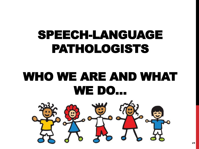# SPEECH-LANGUAGE PATHOLOGISTS

# WHO WE ARE AND WHAT WE DO…

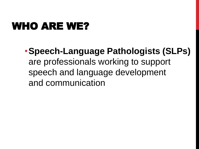### WHO ARE WE?

•**Speech-Language Pathologists (SLPs)**  are professionals working to support speech and language development and communication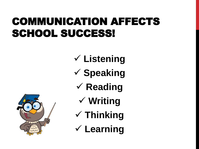### COMMUNICATION AFFECTS SCHOOL SUCCESS!

- **Listening**
- **Speaking**
	- **√ Reading** 
		- **Writing**
- **Thinking**
- **Learning**

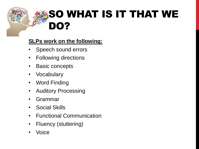# SO WHAT IS IT THAT WE DO?

#### **SLPs work on the following:**

- Speech sound errors
- Following directions
- Basic concepts
- Vocabulary
- Word Finding
- Auditory Processing
- Grammar
- Social Skills
- Functional Communication
- Fluency (stuttering)
- **Voice**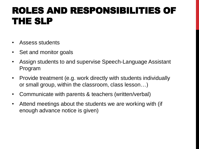#### ROLES AND RESPONSIBILITIES OF THE SLP

- Assess students
- Set and monitor goals
- Assign students to and supervise Speech-Language Assistant Program
- Provide treatment (e.g. work directly with students individually or small group, within the classroom, class lesson…)
- Communicate with parents & teachers (written/verbal)
- Attend meetings about the students we are working with (if enough advance notice is given)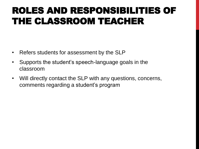#### ROLES AND RESPONSIBILITIES OF THE CLASSROOM TEACHER

- Refers students for assessment by the SLP
- Supports the student's speech-language goals in the classroom
- Will directly contact the SLP with any questions, concerns, comments regarding a student's program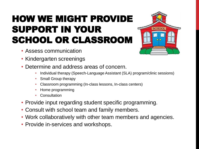### HOW WE MIGHT PROVIDE SUPPORT IN YOUR SCHOOL OR CLASSROOM

- Assess communication
- Kindergarten screenings
- Determine and address areas of concern.
	- Individual therapy (Speech-Language Assistant (SLA) program/clinic sessions)
	- Small Group therapy
	- Classroom programming (In-class lessons, In-class centers)
	- Home programming
	- Consultation
- Provide input regarding student specific programming.
- Consult with school team and family members.
- Work collaboratively with other team members and agencies.
- Provide in-services and workshops.